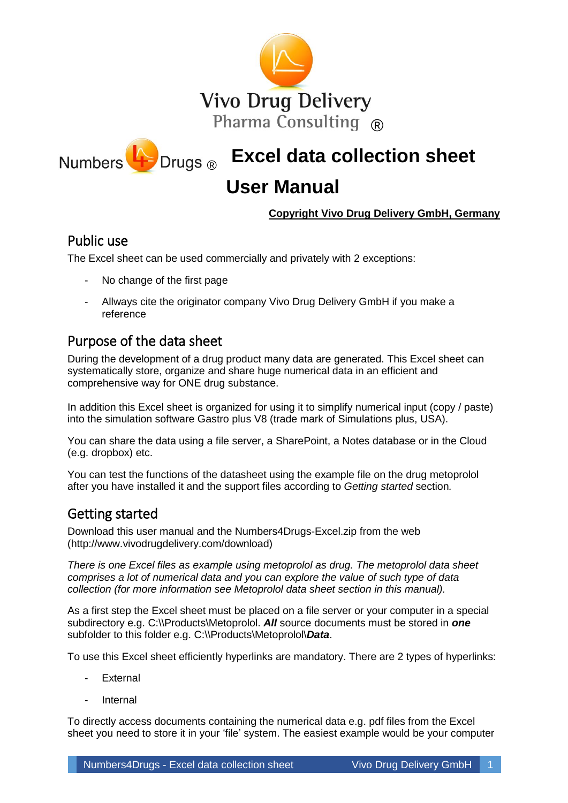

**Excel data collection sheet** ®

# **User Manual**

#### **Copyright Vivo Drug Delivery GmbH, Germany**

### Public use

The Excel sheet can be used commercially and privately with 2 exceptions:

- No change of the first page
- Allways cite the originator company Vivo Drug Delivery GmbH if you make a reference

# Purpose of the data sheet

During the development of a drug product many data are generated. This Excel sheet can systematically store, organize and share huge numerical data in an efficient and comprehensive way for ONE drug substance.

In addition this Excel sheet is organized for using it to simplify numerical input (copy / paste) into the simulation software Gastro plus V8 (trade mark of Simulations plus, USA).

You can share the data using a file server, a SharePoint, a Notes database or in the Cloud (e.g. dropbox) etc.

You can test the functions of the datasheet using the example file on the drug metoprolol after you have installed it and the support files according to *Getting started* section*.*

# Getting started

Download this user manual and the Numbers4Drugs-Excel.zip from the web (http://www.vivodrugdelivery.com/download)

*There is one Excel files as example using metoprolol as drug. The metoprolol data sheet comprises a lot of numerical data and you can explore the value of such type of data collection (for more information see Metoprolol data sheet section in this manual).*

As a first step the Excel sheet must be placed on a file server or your computer in a special subdirectory e.g. C:\\Products\Metoprolol. *All* source documents must be stored in *one* subfolder to this folder e.g. C:\\Products\Metoprolol\*Data*.

To use this Excel sheet efficiently hyperlinks are mandatory. There are 2 types of hyperlinks:

- **External**
- **Internal**

To directly access documents containing the numerical data e.g. pdf files from the Excel sheet you need to store it in your 'file' system. The easiest example would be your computer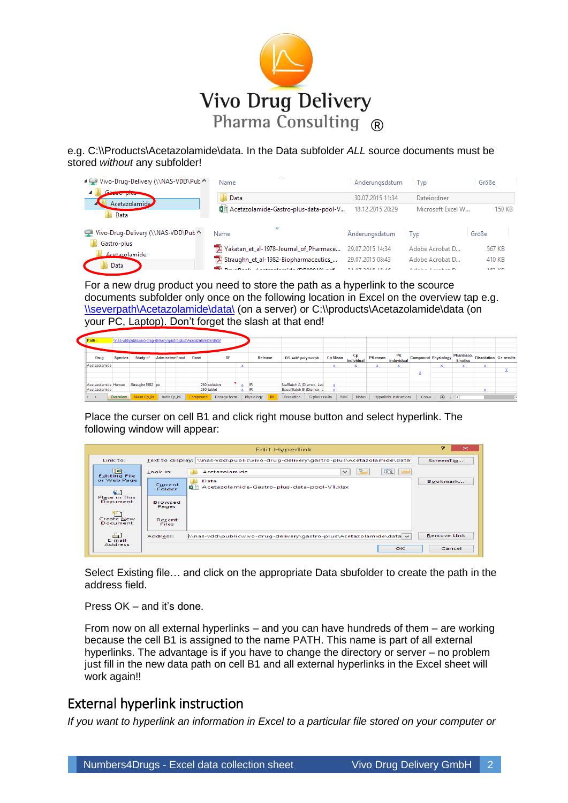

e.g. C:\\Products\Acetazolamide\data. In the Data subfolder *ALL* source documents must be stored *without* any subfolder!

| ■ Vivo-Drug-Delivery (\\NAS-VDD\Put ^ | $\overline{\phantom{a}}$<br>Name                                                            | Anderungsdatum                       | Typ                                       | Größe                       |
|---------------------------------------|---------------------------------------------------------------------------------------------|--------------------------------------|-------------------------------------------|-----------------------------|
| <b>AND MAIN PARTIES</b>               | Data                                                                                        | 30.07.2015 11:34                     | Dateiordner                               |                             |
| Acetazolamide<br>Data                 | 图 Acetazolamide-Gastro-plus-data-pool-V                                                     | 18.12.2015 20:29                     | Microsoft Excel W                         | 150 KB                      |
| Vivo-Drug-Delivery (\\NAS-VDD\Put ^   | Name                                                                                        | Änderungsdatum                       | Tvp                                       | Größe                       |
| Gastro-plus<br>Acetazolamide          | Yakatan et al-1978-Journal of Pharmace                                                      | 29.07.2015 14:34                     | Adobe Acrobat D                           | 567 KB                      |
| Data                                  | TX Straughn et al-1982-Biopharmaceutics<br><b>CONTRACTOR</b> CONTRACTOR COMPOSITION COMPANY | 29.07.2015 08:43<br>31.07.3015.15.16 | Adobe Acrobat D<br>Address Address Dr. D. | 410 KB<br>157 <sub>VD</sub> |

For a new drug product you need to store the path as a hyperlink to the scource documents subfolder only once on the following location in Excel on the overview tap e.g. [\\severpath\Acetazolamide\data\](file://///severpath/Acetazolamide/data/) (on a server) or C:\\products\Acetazolamide\data (on your PC, Laptop). Don't forget the slash at that end!

| Path :              |          | \\nas-vdd\public\vivo-drug-delivery\gastro-plus\Acetazolamide\data\ |             |                       |                     |              |    |    |            |         |                         |                |                |                         |                                                                                   |                                |                            |                                                 |  |
|---------------------|----------|---------------------------------------------------------------------|-------------|-----------------------|---------------------|--------------|----|----|------------|---------|-------------------------|----------------|----------------|-------------------------|-----------------------------------------------------------------------------------|--------------------------------|----------------------------|-------------------------------------------------|--|
|                     |          |                                                                     |             |                       |                     |              |    |    |            |         |                         |                |                |                         |                                                                                   |                                |                            |                                                 |  |
| Drug                | Species  | Study n°                                                            |             | <b>Adm eatme Food</b> | Dose                |              | DF |    |            | Release | DS salt/polymorph       |                | <b>Cp Mean</b> | <b>Cp</b><br>Individual | $\therefore$ PK mean $\left  \frac{\text{induvidual}}{\text{induvidual}} \right $ | PK                             | <b>Compound Physiology</b> | my Pharmaco- Dissolution G+ results<br>kinetics |  |
| Acetazolamide       |          |                                                                     |             |                       |                     |              |    |    |            |         |                         |                |                |                         |                                                                                   |                                |                            |                                                 |  |
|                     |          |                                                                     |             |                       |                     |              |    |    |            |         |                         |                |                |                         |                                                                                   |                                |                            |                                                 |  |
|                     |          |                                                                     |             |                       |                     |              |    |    |            |         |                         |                |                |                         |                                                                                   |                                |                            |                                                 |  |
| Acetazolamide Human |          | Straughn1982 po                                                     |             |                       |                     | 250 solution |    |    |            |         | Na/Batch A (Diamox, Led |                | x.             |                         |                                                                                   |                                |                            |                                                 |  |
| Acetazolamide       |          |                                                                     |             |                       | <b>Address 1989</b> | 250 tablet   |    | x. | - IB       |         | Base/Batch B (Diamox, L |                |                |                         |                                                                                   |                                |                            |                                                 |  |
| $\rightarrow$       | Overview | Mean Cp_PK                                                          | Indiv Cp_PK |                       | compound            | Dosage form  |    |    | Physiology |         | <b>Dissolution</b>      | G-plus-results |                | <b>IVIVC</b><br>Notes   |                                                                                   | <b>Hyperlinks instructions</b> | Conve $(F)$ : $\boxed{1}$  |                                                 |  |

Place the curser on cell B1 and click right mouse button and select hyperlink. The following window will appear:

|                                                  |                         | <b>Edit Hyperlink</b>                                                                | ÷.<br>$\mathbf{\times}$ |
|--------------------------------------------------|-------------------------|--------------------------------------------------------------------------------------|-------------------------|
| Link to:                                         |                         | Text to display: \\nas-vdd\public\vivo-drug-delivery\gastro-plus\Acetazolamide\data\ | ScreenTip               |
| $\bullet$<br><b>Existing File</b><br>or Web Page | Look in:<br>Current     | Acetazolamide<br>$\checkmark$<br>Data                                                | Bookmark                |
|                                                  | Folder                  | Acetazolamide-Gastro-plus-data-pool-V1.xlsx                                          |                         |
| Place in This<br>Document                        | <b>Browsed</b><br>Pages |                                                                                      |                         |
| Create New<br>Document                           | Recent<br><b>Files</b>  |                                                                                      |                         |
| لعج<br>E-mail                                    | Address:                | \\nas-vdd\public\vivo-drug-delivery\gastro-plus\Acetazolamide\data v                 | <b>Remove Link</b>      |
| Address                                          |                         | OK                                                                                   | Cancel                  |

Select Existing file… and click on the appropriate Data sbufolder to create the path in the address field.

Press OK – and it's done.

From now on all external hyperlinks – and you can have hundreds of them – are working because the cell B1 is assigned to the name PATH. This name is part of all external hyperlinks. The advantage is if you have to change the directory or server – no problem just fill in the new data path on cell B1 and all external hyperlinks in the Excel sheet will work again!!

### External hyperlink instruction

*If you want to hyperlink an information in Excel to a particular file stored on your computer or*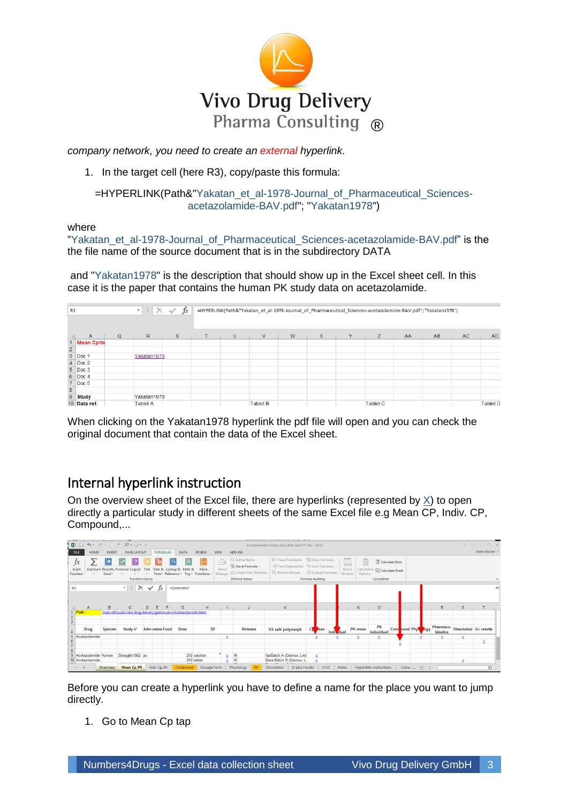

*company network, you need to create an external hyperlink.*

1. In the target cell (here R3), copy/paste this formula:

#### =HYPERLINK(Path&"Yakatan\_et\_al-1978-Journal\_of\_Pharmaceutical\_Sciencesacetazolamide-BAV.pdf"; "Yakatan1978")

where

"Yakatan\_et\_al-1978-Journal\_of\_Pharmaceutical\_Sciences-acetazolamide-BAV.pdf" is the the file name of the source document that is in the subdirectory DATA

and "Yakatan1978" is the description that should show up in the Excel sheet cell. In this case it is the paper that contains the human PK study data on acetazolamide.

| R <sub>3</sub>          |                                                        |             | $\mathbb{E} \mathbb{I}$ X<br>$\scriptstyle\rm w$ | $f_x$<br>$\checkmark$ | =HYPERLINK(Path&"Yakatan_et_al-1978-Journal_of_Pharmaceutical_Sciences-acetazolamide-BAV.pdf"; "Yakatan1978") |                 |   |   |   |                 |    |    |     |                 |  |  |
|-------------------------|--------------------------------------------------------|-------------|--------------------------------------------------|-----------------------|---------------------------------------------------------------------------------------------------------------|-----------------|---|---|---|-----------------|----|----|-----|-----------------|--|--|
|                         |                                                        |             |                                                  |                       |                                                                                                               |                 |   |   |   |                 |    |    |     |                 |  |  |
|                         | $\Lambda$                                              | $\mathbf Q$ | $\mathbb{R}$                                     | S.                    | U                                                                                                             | V               | W | X | Y | Z.              | AA | AB | AC. | <b>AD</b>       |  |  |
|                         | 1 Mean Cp/tir                                          |             |                                                  |                       |                                                                                                               |                 |   |   |   |                 |    |    |     |                 |  |  |
| $\overline{\mathbf{2}}$ |                                                        |             |                                                  |                       |                                                                                                               |                 |   |   |   |                 |    |    |     |                 |  |  |
|                         | 3 Doc 1                                                |             | Yakatan1978                                      |                       |                                                                                                               |                 |   |   |   |                 |    |    |     |                 |  |  |
|                         | 4 Doc 2                                                |             |                                                  |                       |                                                                                                               |                 |   |   |   |                 |    |    |     |                 |  |  |
|                         | 5 Doc 3                                                |             |                                                  |                       |                                                                                                               |                 |   |   |   |                 |    |    |     |                 |  |  |
|                         | 6 Doc 4                                                |             |                                                  |                       |                                                                                                               |                 |   |   |   |                 |    |    |     |                 |  |  |
|                         | $7$ Doc 5                                              |             |                                                  |                       |                                                                                                               |                 |   |   |   |                 |    |    |     |                 |  |  |
|                         | $\begin{array}{ c c }\n 8 & \text{Study}\n\end{array}$ |             |                                                  |                       |                                                                                                               |                 |   |   |   |                 |    |    |     |                 |  |  |
|                         |                                                        |             | Yakatan1978                                      |                       |                                                                                                               |                 |   |   |   |                 |    |    |     |                 |  |  |
|                         | 10 Data ref.                                           |             | <b>Tablet A</b>                                  |                       |                                                                                                               | <b>Tablet B</b> |   |   |   | <b>Tablet C</b> |    |    |     | <b>Tablet D</b> |  |  |

When clicking on the Yakatan1978 hyperlink the pdf file will open and you can check the original document that contain the data of the Excel sheet.

# Internal hyperlink instruction

On the overview sheet of the Excel file, there are hyperlinks (represented by  $X$ ) to open directly a particular study in different sheets of the same Excel file e.g Mean CP, Indiv. CP, Compound,...

|                                       |                       |                 | 图日うてき回回部のマ                                                          |              |                 |                                                                         |              |             |                            |                                                                                                                | Acetazolamide-Gastro-plus-data-pool-V1.xlsx - Excel                                                                                                                  |                  |             |                       |                                      |                                                      |               |                   |                       |                        |               |  |
|---------------------------------------|-----------------------|-----------------|---------------------------------------------------------------------|--------------|-----------------|-------------------------------------------------------------------------|--------------|-------------|----------------------------|----------------------------------------------------------------------------------------------------------------|----------------------------------------------------------------------------------------------------------------------------------------------------------------------|------------------|-------------|-----------------------|--------------------------------------|------------------------------------------------------|---------------|-------------------|-----------------------|------------------------|---------------|--|
| <b>FILE</b>                           | HOME                  | INSERT          | PAGE LAYOUT                                                         |              | <b>FORMULAS</b> | DATA                                                                    | REVIEW       | VIEW        |                            | ADD-INS                                                                                                        |                                                                                                                                                                      |                  |             |                       |                                      |                                                      |               |                   |                       |                        | Dieter Becker |  |
| $\mathfrak{f}x$<br>Insert<br>Function |                       | Used ~          | AutoSum Recently Financial Logical<br>Function Library              | Text         |                 | ∥θ<br>Date & Lookup & Math &<br>* Time * Reference * Triq * Functions * | m<br>More    |             | $\curvearrowright$<br>Name | E Define Name -<br><sup>C</sup> f. Use in Formula *<br>Manager I Create from Selection<br><b>Defined Names</b> | 第 Trace Precedents   % Show Formulas<br>off Trace Dependents VII Error Checking<br>$\mathbb{K}_{\mathbb{K}}$ Remove Arrows $\mathbb{K}(\mathbb{K})$ Evaluate Formula | Formula Auditing |             |                       | E<br>류<br>Watch<br>Window<br>Options | Calculation <b>EP</b> Calculate Sheet<br>Calculation | Calculate Now |                   |                       |                        |               |  |
|                                       |                       |                 |                                                                     |              |                 |                                                                         |              |             |                            |                                                                                                                |                                                                                                                                                                      |                  |             |                       |                                      |                                                      |               |                   |                       |                        |               |  |
| A1                                    |                       |                 | $\times$<br>$\tau$ :                                                | $\checkmark$ |                 | =Overview!                                                              |              |             |                            |                                                                                                                |                                                                                                                                                                      |                  |             |                       |                                      |                                                      |               |                   |                       |                        |               |  |
|                                       | $\overline{A}$        | B               | C.                                                                  | D.           | Е               | G                                                                       | н            |             |                            |                                                                                                                | K                                                                                                                                                                    |                  |             |                       | N.                                   | $\circ$                                              |               |                   | $\mathsf{R}$          | s.                     |               |  |
| 1 Path:                               |                       |                 | Vinas-vdd/public/vivo-drug-delivery/gastro-plus/Acetazolamide/data/ |              |                 |                                                                         |              |             |                            |                                                                                                                |                                                                                                                                                                      |                  |             |                       |                                      |                                                      |               |                   |                       |                        |               |  |
| $\overline{2}$<br>$\overline{3}$      |                       |                 |                                                                     |              |                 |                                                                         |              |             |                            |                                                                                                                |                                                                                                                                                                      |                  |             |                       |                                      |                                                      |               |                   |                       |                        |               |  |
|                                       | Drug                  | <b>Species</b>  | Study n°                                                            |              | Adm satme Food  | <b>Dose</b>                                                             |              | DF          |                            | Release                                                                                                        | DS salt/ polymorph                                                                                                                                                   | CK.              | ean         | Individual            | PK mean                              | PK<br>induvidual                                     |               | Compund Physicogy | Pharmaco-<br>kinetics | Dissolution G+ results |               |  |
|                                       | 5 Acetazolamide       |                 |                                                                     |              |                 |                                                                         |              |             | x                          |                                                                                                                |                                                                                                                                                                      |                  | x           | ×                     | x                                    | x                                                    |               |                   |                       |                        |               |  |
|                                       |                       |                 |                                                                     |              |                 |                                                                         |              |             |                            |                                                                                                                |                                                                                                                                                                      |                  |             |                       |                                      |                                                      |               |                   |                       |                        |               |  |
|                                       |                       |                 |                                                                     |              |                 |                                                                         |              |             |                            |                                                                                                                |                                                                                                                                                                      |                  |             |                       |                                      |                                                      |               |                   |                       |                        |               |  |
|                                       | 9 Acetazolamide Human |                 | Straughn1982 po                                                     |              |                 |                                                                         | 250 solution |             |                            | IR                                                                                                             | Na/Batch A (Diamox, Led                                                                                                                                              |                  | $\mathbf x$ |                       |                                      |                                                      |               |                   |                       |                        |               |  |
|                                       | 10 Acetazolamide      |                 |                                                                     |              |                 |                                                                         | 250 tablet   |             |                            | <b>IR</b>                                                                                                      | Base/Batch B (Diamox, L)                                                                                                                                             |                  |             |                       |                                      |                                                      |               |                   |                       | ×                      |               |  |
|                                       |                       | <b>Overview</b> | Mean Cp PK                                                          |              | Indiv Cp PK     | Compound                                                                |              | Dosage form |                            | Physiology                                                                                                     | G-plus-results<br><b>Dissolution</b>                                                                                                                                 |                  |             | <b>IVIVC</b><br>Notes |                                      | <b>Hyperlinks instructions</b>                       |               | Conve $(+)$       | <b>BERTH</b>          |                        | $\rightarrow$ |  |

Before you can create a hyperlink you have to define a name for the place you want to jump directly.

1. Go to Mean Cp tap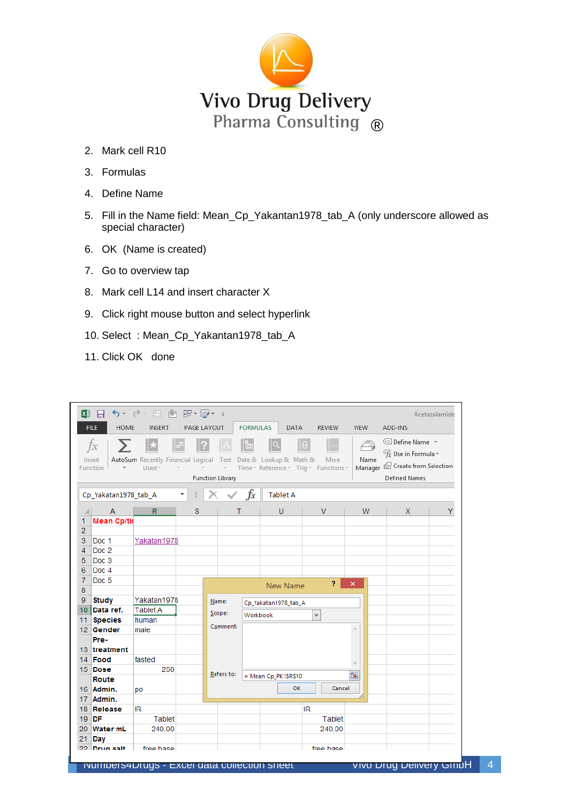

- 2. Mark cell R10
- 3. Formulas
- 4. Define Name
- 5. Fill in the Name field: Mean\_Cp\_Yakantan1978\_tab\_A (only underscore allowed as special character)
- 6. OK (Name is created)
- 7. Go to overview tap
- 8. Mark cell L14 and insert character X
- 9. Click right mouse button and select hyperlink
- 10. Select : Mean\_Cp\_Yakantan1978\_tab\_A
- 11. Click OK done

|                | <b>XII 日</b><br><b>FILE</b><br><b>HOME</b> | ち - ♂ - 国 画<br><b>INSERT</b>                 |         | 田・野・ =<br>PAGE LAYOUT                                         | <b>FORMULAS</b> | DATA                        | <b>REVIEW</b>                                      | <b>VIEW</b>                     | ADD-INS                                                                                                                                 |   |
|----------------|--------------------------------------------|----------------------------------------------|---------|---------------------------------------------------------------|-----------------|-----------------------------|----------------------------------------------------|---------------------------------|-----------------------------------------------------------------------------------------------------------------------------------------|---|
|                | $f_{x}$<br>Insert<br>Function              | AutoSum Recently Financial Logical<br>Used - |         | $\sim$<br>$\overline{\phantom{a}}$<br><b>Function Library</b> |                 | Text Date & Lookup & Math & | θ<br>More<br>Time v Reference v Trig v Functions v | $\widehat{\rightarrow}$<br>Name | <sup>■</sup> Define Name *<br>$\mathcal{F}_x$ Use in Formula $\mathcal{F}_x$<br>Manager & Create from Selection<br><b>Defined Names</b> |   |
|                | Cp_Yakatan1978_tab_A                       |                                              | ÷<br>v. |                                                               | $f_x$           | <b>Tablet A</b>             |                                                    |                                 |                                                                                                                                         |   |
| ⊿              | $\mathsf{A}$                               | $\mathbb{R}$                                 | S       |                                                               | т               | $\cup$                      | $\mathsf{V}$                                       | <b>W</b>                        | $\mathsf{X}$                                                                                                                            | Y |
| 1              | <b>Mean Cp/tir</b>                         |                                              |         |                                                               |                 |                             |                                                    |                                 |                                                                                                                                         |   |
| $\overline{2}$ |                                            |                                              |         |                                                               |                 |                             |                                                    |                                 |                                                                                                                                         |   |
| 3              | Doc 1                                      | Yakatan1978                                  |         |                                                               |                 |                             |                                                    |                                 |                                                                                                                                         |   |
| $\overline{4}$ | Doc <sub>2</sub>                           |                                              |         |                                                               |                 |                             |                                                    |                                 |                                                                                                                                         |   |
| 5              | Doc 3                                      |                                              |         |                                                               |                 |                             |                                                    |                                 |                                                                                                                                         |   |
| 6              | Doc 4                                      |                                              |         |                                                               |                 |                             |                                                    |                                 |                                                                                                                                         |   |
| 7              | Doc <sub>5</sub>                           |                                              |         |                                                               |                 | <b>New Name</b>             | $\overline{P}$                                     | $\mathsf{x}$                    |                                                                                                                                         |   |
| 8              |                                            |                                              |         |                                                               |                 |                             |                                                    |                                 |                                                                                                                                         |   |
| 9 <sup>°</sup> | <b>Study</b>                               | Yakatan1978                                  |         | Name:                                                         |                 | Cp_Yakatan1978_tab_A        |                                                    |                                 |                                                                                                                                         |   |
|                | 10 Data ref.                               | <b>Tablet A</b>                              |         | Scope:                                                        | Workbook        |                             | v                                                  |                                 |                                                                                                                                         |   |
|                | 11 Species                                 | human                                        |         | Comment:                                                      |                 |                             |                                                    | $\mathcal{O}_2$                 |                                                                                                                                         |   |
|                | 12 Gender<br>Pre-                          | male                                         |         |                                                               |                 |                             |                                                    |                                 |                                                                                                                                         |   |
|                | 13 treatment                               |                                              |         |                                                               |                 |                             |                                                    |                                 |                                                                                                                                         |   |
|                | 14 Food                                    | fasted                                       |         |                                                               |                 |                             |                                                    |                                 |                                                                                                                                         |   |
|                | 15 Dose                                    | 250                                          |         |                                                               |                 |                             |                                                    |                                 |                                                                                                                                         |   |
|                | Route                                      |                                              |         | Refers to:                                                    |                 | ="Mean Cp_PK"!\$R\$10       |                                                    | 嶐                               |                                                                                                                                         |   |
|                | 16 Admin.                                  | po                                           |         |                                                               |                 | <b>OK</b>                   | Cancel                                             |                                 |                                                                                                                                         |   |
|                | 17 Admin.                                  |                                              |         |                                                               |                 |                             |                                                    |                                 |                                                                                                                                         |   |
|                | 18 Release                                 | IR.                                          |         |                                                               |                 |                             | IR.                                                |                                 |                                                                                                                                         |   |
|                | $19$ DF                                    | Tablet                                       |         |                                                               |                 |                             | Tablet                                             |                                 |                                                                                                                                         |   |
|                | 20 Water mL                                | 240,00                                       |         |                                                               |                 |                             | 240,00                                             |                                 |                                                                                                                                         |   |
| 21             | Day                                        |                                              |         |                                                               |                 |                             |                                                    |                                 |                                                                                                                                         |   |
|                | 22 Drug salt                               | free hase                                    |         |                                                               |                 |                             | free hase                                          |                                 |                                                                                                                                         |   |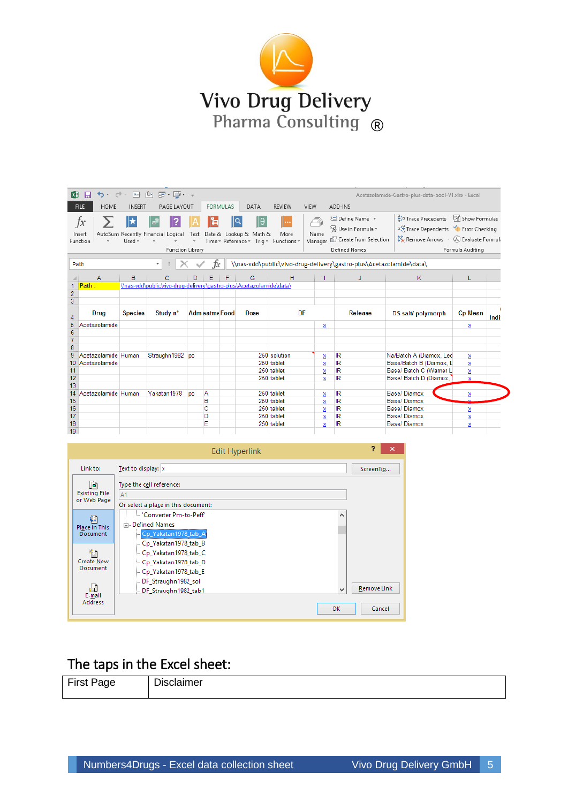

| <b>区</b>        | $\sim$ $\sim$ $\sim$<br>н        | $A =$          | ா®ு<br>雷・闘・ 。                                                                           |           |                       |                 |                                                                             |               |                         |                                                                                                                                                                                                    | Acetazolamide-Gastro-plus-data-pool-V1.xlsx - Excel                                                                                                           |                  |      |
|-----------------|----------------------------------|----------------|-----------------------------------------------------------------------------------------|-----------|-----------------------|-----------------|-----------------------------------------------------------------------------|---------------|-------------------------|----------------------------------------------------------------------------------------------------------------------------------------------------------------------------------------------------|---------------------------------------------------------------------------------------------------------------------------------------------------------------|------------------|------|
|                 | <b>HOME</b><br><b>FILE</b>       | <b>INSERT</b>  | PAGE LAYOUT                                                                             |           |                       | <b>FORMULAS</b> | DATA                                                                        | <b>REVIEW</b> | <b>VIEW</b>             | ADD-INS                                                                                                                                                                                            |                                                                                                                                                               |                  |      |
|                 | ĴХ<br>Insert<br>Function<br>Path | Used -         | AutoSum Recently Financial Logical<br><b>Function Library</b><br>$\overline{\mathbf v}$ | Text      | È<br>Ťх               |                 | lQ<br>lθ<br>Date & Lookup & Math &<br>Time * Reference * Trig * Functions * | More          | ⚠<br>Name<br>Manager    | <b>El Define Name</b> *<br>$\frac{C_{\text{fV}}}{T}$ Use in Formula $\tau$<br>Create from Selection<br><b>Defined Names</b><br>\\nas-vdd\public\vivo-drug-delivery\gastro-plus\Acetazolamide\data\ | Fig. Trace Precedents [54] Show Formulas<br><sup>o</sup> Trace Dependents <b>Y</b> Error Checking<br>$\mathbb{K}$ Remove Arrows $\mathbb{K}$ Evaluate Formuli | Formula Auditing |      |
|                 | $\overline{A}$                   | в              | с                                                                                       | D         | F                     |                 | G                                                                           | H             |                         | J                                                                                                                                                                                                  | K                                                                                                                                                             |                  |      |
| 1               | Path:                            |                | \\nas-vdd\public\vivo-drug-delivery\gastro-plus\Acetazolamide\data\                     |           |                       |                 |                                                                             |               |                         |                                                                                                                                                                                                    |                                                                                                                                                               |                  |      |
| $\frac{2}{3}$   |                                  |                |                                                                                         |           |                       |                 |                                                                             |               |                         |                                                                                                                                                                                                    |                                                                                                                                                               |                  |      |
|                 |                                  |                |                                                                                         |           |                       |                 |                                                                             |               |                         |                                                                                                                                                                                                    |                                                                                                                                                               |                  |      |
| 4               | Drug                             | <b>Species</b> | Study n°                                                                                |           | <b>Adm eatme Food</b> |                 | Dose                                                                        | <b>DF</b>     |                         | <b>Release</b>                                                                                                                                                                                     | DS salt/ polymorph                                                                                                                                            | <b>Cp Mean</b>   | Indi |
| 5               | Acetazolamide                    |                |                                                                                         |           |                       |                 |                                                                             |               | x                       |                                                                                                                                                                                                    |                                                                                                                                                               | ×                |      |
| $6\phantom{1}6$ |                                  |                |                                                                                         |           |                       |                 |                                                                             |               |                         |                                                                                                                                                                                                    |                                                                                                                                                               |                  |      |
| $\overline{7}$  |                                  |                |                                                                                         |           |                       |                 |                                                                             |               |                         |                                                                                                                                                                                                    |                                                                                                                                                               |                  |      |
| $\overline{8}$  |                                  |                |                                                                                         |           |                       |                 |                                                                             |               |                         |                                                                                                                                                                                                    |                                                                                                                                                               |                  |      |
| 9               | Acetazolamide Human              |                | Straughn1982 po                                                                         |           |                       |                 |                                                                             | 250 solution  | $\overline{\mathbf{x}}$ | IR.                                                                                                                                                                                                | Na/Batch A (Diamox, Led                                                                                                                                       | X                |      |
| 10              | Acetazolamide                    |                |                                                                                         |           |                       |                 |                                                                             | 250 tablet    | $\mathbf{x}$            | ΙR                                                                                                                                                                                                 | Base/Batch B (Diamox, L                                                                                                                                       | x                |      |
| 11              |                                  |                |                                                                                         |           |                       |                 |                                                                             | 250 tablet    | x                       | ΙR                                                                                                                                                                                                 | Base/ Batch C (Warner L)                                                                                                                                      | X                |      |
| 12              |                                  |                |                                                                                         |           |                       |                 |                                                                             | 250 tablet    | x                       | ΙR                                                                                                                                                                                                 | Base/ Batch D (Diamox,                                                                                                                                        | x                |      |
| 13              |                                  |                |                                                                                         |           |                       |                 |                                                                             |               |                         |                                                                                                                                                                                                    |                                                                                                                                                               |                  |      |
| 14              | Acetazolamide Human              |                | Yakatan 1978                                                                            | <b>po</b> | A                     |                 |                                                                             | 250 tablet    | x                       | ΙR                                                                                                                                                                                                 | Base/Diamox                                                                                                                                                   | x                |      |
| 15              |                                  |                |                                                                                         |           | в<br>Ċ                |                 |                                                                             | 250 tablet    | x                       | ΙR<br><b>IR</b>                                                                                                                                                                                    | Base/Diamox                                                                                                                                                   |                  |      |
| 16<br>17        |                                  |                |                                                                                         |           | D                     |                 |                                                                             | 250 tablet    | x                       |                                                                                                                                                                                                    | Base/Diamox<br>Base/Diamox                                                                                                                                    | X                |      |
| 18              |                                  |                |                                                                                         |           | F                     |                 |                                                                             | 250 tablet    | $\mathbf{x}$            | ΙR                                                                                                                                                                                                 | Base/Diamox                                                                                                                                                   | ×                |      |
| 19              |                                  |                |                                                                                         |           |                       |                 |                                                                             | 250 tablet    | x                       | ΙR                                                                                                                                                                                                 |                                                                                                                                                               | x                |      |

|                                           | <b>Edit Hyperlink</b>               | 2<br>×      |
|-------------------------------------------|-------------------------------------|-------------|
| Link to:                                  | Text to display:  x                 | ScreenTip   |
| Ø.<br><b>Existing File</b><br>or Web Page | Type the cell reference:<br>A1      |             |
|                                           | Or select a place in this document: |             |
|                                           | : "Converter Pm-to-Peff"<br>́       |             |
| Place in This                             | □ Defined Names                     |             |
| Document                                  | Cp Yakatan1978 tab A                |             |
|                                           | Cp_Yakatan1978_tab_B                |             |
|                                           | Cp_Yakatan1978_tab_C                |             |
| <b>Create New</b><br>Document             | - Cp Yakatan1978 tab D              |             |
|                                           | Cp_Yakatan1978_tab_E                |             |
|                                           | DF Straughn1982 sol                 | Remove Link |
| E-mail                                    | v<br>DF_Straughn1982_tab1           |             |
| Address                                   | OK                                  | Cancel      |
|                                           |                                     |             |

# The taps in the Excel sheet:

| $- \cdot$<br>- -<br>… | -<br> |
|-----------------------|-------|
|-----------------------|-------|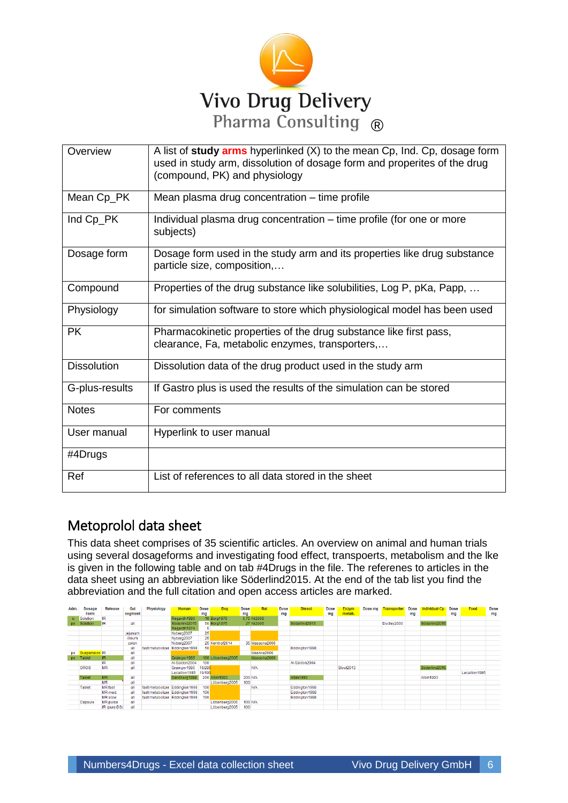

| Overview           | A list of study arms hyperlinked (X) to the mean Cp, Ind. Cp, dosage form<br>used in study arm, dissolution of dosage form and properites of the drug<br>(compound, PK) and physiology |
|--------------------|----------------------------------------------------------------------------------------------------------------------------------------------------------------------------------------|
| Mean Cp_PK         | Mean plasma drug concentration – time profile                                                                                                                                          |
| Ind Cp_PK          | Individual plasma drug concentration – time profile (for one or more<br>subjects)                                                                                                      |
| Dosage form        | Dosage form used in the study arm and its properties like drug substance<br>particle size, composition,                                                                                |
| Compound           | Properties of the drug substance like solubilities, Log P, pKa, Papp,                                                                                                                  |
| Physiology         | for simulation software to store which physiological model has been used                                                                                                               |
| <b>PK</b>          | Pharmacokinetic properties of the drug substance like first pass,<br>clearance, Fa, metabolic enzymes, transporters,                                                                   |
| <b>Dissolution</b> | Dissolution data of the drug product used in the study arm                                                                                                                             |
| G-plus-results     | If Gastro plus is used the results of the simulation can be stored                                                                                                                     |
| <b>Notes</b>       | For comments                                                                                                                                                                           |
| User manual        | Hyperlink to user manual                                                                                                                                                               |
| #4Drugs            |                                                                                                                                                                                        |
| Ref                | List of references to all data stored in the sheet                                                                                                                                     |

# Metoprolol data sheet

This data sheet comprises of 35 scientific articles. An overview on animal and human trials using several dosageforms and investigating food effect, transpoerts, metabolism and the lke is given in the following table and on tab #4Drugs in the file. The referenes to articles in the data sheet using an abbreviation like Söderlind2015. At the end of the tab list you find the abbreviation and the full citation and open access articles are marked.

| Adm. | <b>Dosage</b>        | <b>Release</b>  | Gut     | <b>Physiology</b>              | <b>Human</b>                   | <b>Dose</b>     | Dog               | <b>Dose</b> | Rat            | Dose | Dissol.        | Dose | <b>Enzym</b> | Dose ma | <b>Transporter</b> | Dose | <b>Individual Cp</b> Dose |    | Food          | Dose |
|------|----------------------|-----------------|---------|--------------------------------|--------------------------------|-----------------|-------------------|-------------|----------------|------|----------------|------|--------------|---------|--------------------|------|---------------------------|----|---------------|------|
|      | Form                 |                 | seament |                                |                                | ma              |                   | mg          |                | mg   |                | ma   | metab.       |         |                    | ma   |                           | mg |               | mg   |
| iv.  | Solution             | IR              |         |                                | Regardh1980                    |                 | 10 Borg1975       |             | 6.75 Ni2006    |      |                |      |              |         |                    |      |                           |    |               |      |
| po   | Solution             | IR.             | all     |                                | Söderlind2015                  |                 | 50 Borg1975       |             | 27 Ni2006      |      | Söderlind2015  |      |              |         | Dudley2000         |      | Söderlind2015             |    |               |      |
|      |                      |                 |         |                                | Regardh1974                    |                 |                   |             |                |      |                |      |              |         |                    |      |                           |    |               |      |
|      |                      |                 | jejunum |                                | Nyberg2007                     | 25              |                   |             |                |      |                |      |              |         |                    |      |                           |    |               |      |
|      |                      |                 | illeum  |                                | Nyberg2007                     | 25              |                   |             |                |      |                |      |              |         |                    |      |                           |    |               |      |
|      |                      |                 | colon   |                                | Nyberg2007                     |                 | 25 Kerkhof2014    |             | 35 Masaoka2006 |      |                |      |              |         |                    |      |                           |    |               |      |
|      |                      |                 | all     | fast metabolizer               | Eddington 1998                 | 50 <sup>1</sup> |                   |             |                |      | Eddington 1998 |      |              |         |                    |      |                           |    |               |      |
| DO.  | <b>Suspension IR</b> |                 | all     |                                |                                |                 |                   |             | Masoka2006     |      |                |      |              |         |                    |      |                           |    |               |      |
| po   | Tablet               | IR.             | all     |                                | Grainger1985                   |                 | 100 Löbenberg2005 |             | Masaoka2006    |      |                |      |              |         |                    |      |                           |    |               |      |
|      |                      | IR              | all     |                                | Al-Saidon2004                  | 100             |                   |             |                |      | Al-Saidon2004  |      |              |         |                    |      |                           |    |               |      |
|      | OROS                 | <b>MR</b>       | all     |                                | Grainger1985                   | 19/285          |                   |             | N/A            |      |                |      | Stout2013    |         |                    |      | Söderlind2015             |    |               |      |
|      |                      |                 |         |                                | Lecaillon1985                  | 19/190          |                   |             |                |      |                |      |              |         |                    |      |                           |    | Lecaillon1985 |      |
|      | Tablet               | <b>MR</b>       | all     |                                | Sandberg1988                   |                 | 200 Albin 1993    |             | <b>200 N/A</b> |      | Albin 1993     |      |              |         |                    |      | Albin 1993                |    |               |      |
|      |                      | <b>MR</b>       | all     |                                |                                |                 | Löbenberg2005     | 100         |                |      |                |      |              |         |                    |      |                           |    |               |      |
|      | <b>Tablet</b>        | <b>MR</b> fast  | all     | fast metabolizer Eddington1998 |                                | 100             |                   |             | <b>N/A</b>     |      | Eddington 1998 |      |              |         |                    |      |                           |    |               |      |
|      |                      | MR med.         | all     |                                | fast metabolizer Eddington1998 | 100             |                   |             |                |      | Eddington 1998 |      |              |         |                    |      |                           |    |               |      |
|      |                      | <b>MR</b> slow  | all     |                                | fast metabolizer Eddington1998 | 100             |                   |             |                |      | Eddinaton1998  |      |              |         |                    |      |                           |    |               |      |
|      | Capsule              | <b>MR</b> pulse | all     |                                |                                |                 | Löbenberg2005     |             | <b>100 N/A</b> |      |                |      |              |         |                    |      |                           |    |               |      |
|      |                      | IR (pure DS)    | all     |                                |                                |                 | Löbenberg2005     | 100         |                |      |                |      |              |         |                    |      |                           |    |               |      |